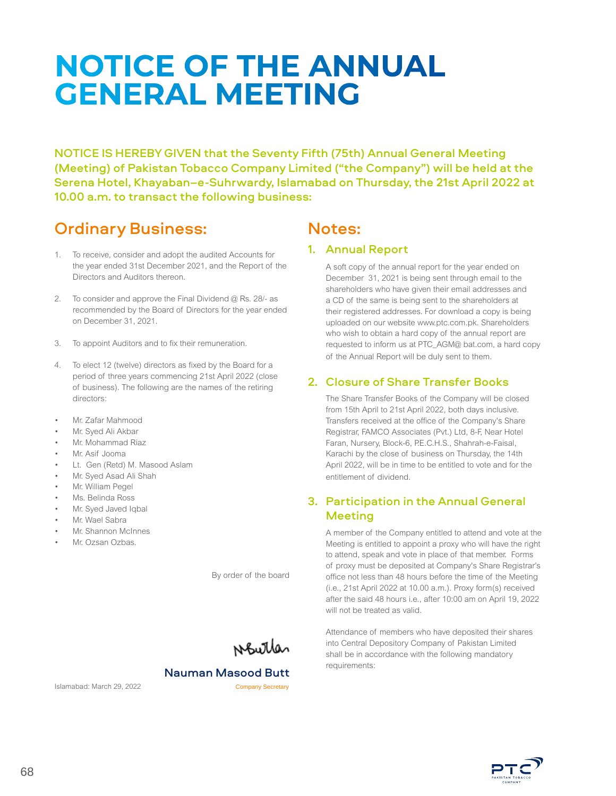# **NOTICE OF THE ANNUAL GENERAL MEETING**

NOTICE IS HEREBY GIVEN that the Seventy Fifth (75th) Annual General Meeting (Meeting) of Pakistan Tobacco Company Limited ("the Company") will be held at the Serena Hotel, Khayaban–e-Suhrwardy, Islamabad on Thursday, the 21st April 2022 at 10.00 a.m. to transact the following business:

# Ordinary Business:

- 1. To receive, consider and adopt the audited Accounts for the year ended 31st December 2021, and the Report of the Directors and Auditors thereon.
- 2. To consider and approve the Final Dividend @ Rs. 28/- as recommended by the Board of Directors for the year ended on December 31, 2021.
- 3. To appoint Auditors and to fix their remuneration.
- 4. To elect 12 (twelve) directors as fixed by the Board for a period of three years commencing 21st April 2022 (close of business). The following are the names of the retiring directors:
- Mr. Zafar Mahmood
- Mr. Syed Ali Akbar
- Mr. Mohammad Riaz
- Mr. Asif Jooma
- Lt. Gen (Retd) M. Masood Aslam
- Mr. Syed Asad Ali Shah
- Mr. William Pegel
- Ms. Belinda Ross
- Mr. Syed Javed Iqbal
- Mr. Wael Sabra
- Mr. Shannon McInnes
- Mr. Ozsan Ozbas.

By order of the board

Noutles

Islamabad: March 29, 2022 Company Secretary

Nauman Masood Butt

# Notes:

#### 1. Annual Report

A soft copy of the annual report for the year ended on December 31, 2021 is being sent through email to the shareholders who have given their email addresses and a CD of the same is being sent to the shareholders at their registered addresses. For download a copy is being uploaded on our website www.ptc.com.pk. Shareholders who wish to obtain a hard copy of the annual report are requested to inform us at PTC\_AGM@ bat.com, a hard copy of the Annual Report will be duly sent to them.

#### 2. Closure of Share Transfer Books

The Share Transfer Books of the Company will be closed from 15th April to 21st April 2022, both days inclusive. Transfers received at the office of the Company's Share Registrar, FAMCO Associates (Pvt.) Ltd, 8-F, Near Hotel Faran, Nursery, Block-6, P.E.C.H.S., Shahrah-e-Faisal, Karachi by the close of business on Thursday, the 14th April 2022, will be in time to be entitled to vote and for the entitlement of dividend.

# 3. Participation in the Annual General Meeting

A member of the Company entitled to attend and vote at the Meeting is entitled to appoint a proxy who will have the right to attend, speak and vote in place of that member. Forms of proxy must be deposited at Company's Share Registrar's office not less than 48 hours before the time of the Meeting (i.e., 21st April 2022 at 10.00 a.m.). Proxy form(s) received after the said 48 hours i.e., after 10:00 am on April 19, 2022 will not be treated as valid.

Attendance of members who have deposited their shares into Central Depository Company of Pakistan Limited shall be in accordance with the following mandatory requirements:

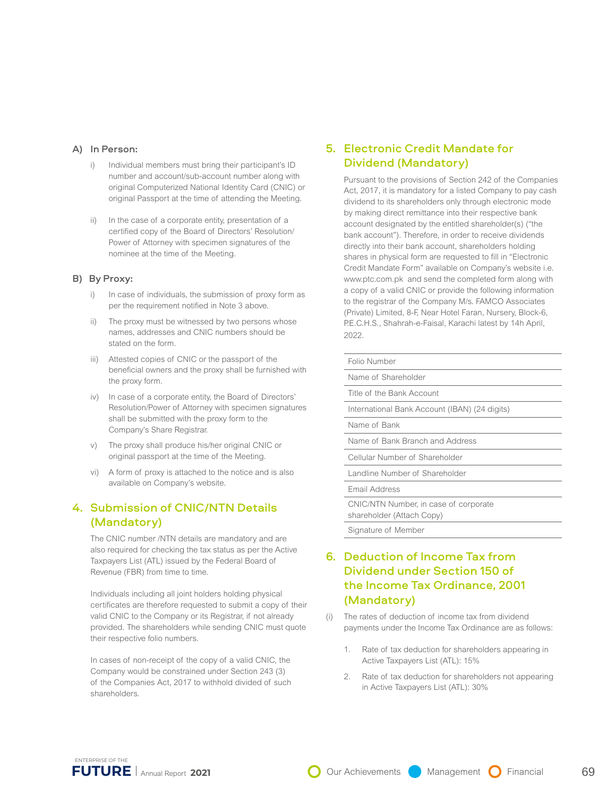#### A) In Person:

- i) Individual members must bring their participant's ID number and account/sub-account number along with original Computerized National Identity Card (CNIC) or original Passport at the time of attending the Meeting.
- ii) In the case of a corporate entity, presentation of a certified copy of the Board of Directors' Resolution/ Power of Attorney with specimen signatures of the nominee at the time of the Meeting.

#### B) By Proxy:

- i) In case of individuals, the submission of proxy form as per the requirement notified in Note 3 above.
- ii) The proxy must be witnessed by two persons whose names, addresses and CNIC numbers should be stated on the form.
- iii) Attested copies of CNIC or the passport of the beneficial owners and the proxy shall be furnished with the proxy form.
- iv) In case of a corporate entity, the Board of Directors' Resolution/Power of Attorney with specimen signatures shall be submitted with the proxy form to the Company's Share Registrar.
- v) The proxy shall produce his/her original CNIC or original passport at the time of the Meeting.
- vi) A form of proxy is attached to the notice and is also available on Company's website.

#### 4. Submission of CNIC/NTN Details (Mandatory)

The CNIC number /NTN details are mandatory and are also required for checking the tax status as per the Active Taxpayers List (ATL) issued by the Federal Board of Revenue (FBR) from time to time.

Individuals including all joint holders holding physical certificates are therefore requested to submit a copy of their valid CNIC to the Company or its Registrar, if not already provided. The shareholders while sending CNIC must quote their respective folio numbers.

In cases of non-receipt of the copy of a valid CNIC, the Company would be constrained under Section 243 (3) of the Companies Act, 2017 to withhold divided of such shareholders.

#### 5. Electronic Credit Mandate for Dividend (Mandatory)

Pursuant to the provisions of Section 242 of the Companies Act, 2017, it is mandatory for a listed Company to pay cash dividend to its shareholders only through electronic mode by making direct remittance into their respective bank account designated by the entitled shareholder(s) ("the bank account"). Therefore, in order to receive dividends directly into their bank account, shareholders holding shares in physical form are requested to fill in "Electronic Credit Mandate Form" available on Company's website i.e. www.ptc.com.pk and send the completed form along with a copy of a valid CNIC or provide the following information to the registrar of the Company M/s. FAMCO Associates (Private) Limited, 8-F, Near Hotel Faran, Nursery, Block-6, P.E.C.H.S., Shahrah-e-Faisal, Karachi latest by 14h April, 2022.

| Folio Number                                                       |
|--------------------------------------------------------------------|
| Name of Shareholder                                                |
| Title of the Bank Account                                          |
| International Bank Account (IBAN) (24 digits)                      |
| Name of Bank                                                       |
| Name of Bank Branch and Address                                    |
| Cellular Number of Shareholder                                     |
| Landline Number of Shareholder                                     |
| Email Address                                                      |
| CNIC/NTN Number, in case of corporate<br>shareholder (Attach Copy) |
|                                                                    |

Signature of Member

#### 6. Deduction of Income Tax from Dividend under Section 150 of the Income Tax Ordinance, 2001 (Mandatory)

- (i) The rates of deduction of income tax from dividend payments under the Income Tax Ordinance are as follows:
	- 1. Rate of tax deduction for shareholders appearing in Active Taxpayers List (ATL): 15%
	- 2. Rate of tax deduction for shareholders not appearing in Active Taxpayers List (ATL): 30%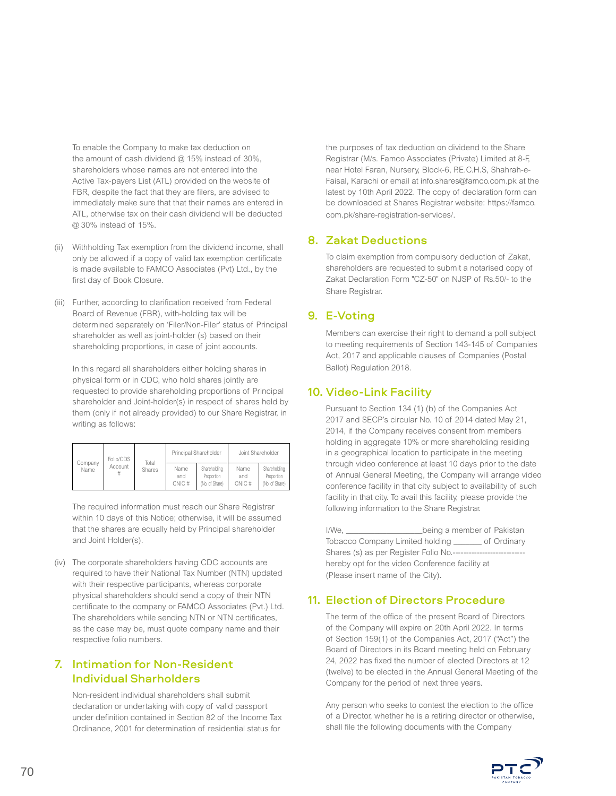To enable the Company to make tax deduction on the amount of cash dividend  $@$  15% instead of 30%, shareholders whose names are not entered into the Active Tax-payers List (ATL) provided on the website of FBR, despite the fact that they are filers, are advised to immediately make sure that that their names are entered in ATL, otherwise tax on their cash dividend will be deducted @ 30% instead of 15%.

- (ii) Withholding Tax exemption from the dividend income, shall only be allowed if a copy of valid tax exemption certificate is made available to FAMCO Associates (Pvt) Ltd., by the first day of Book Closure.
- (iii) Further, according to clarification received from Federal Board of Revenue (FBR), with-holding tax will be determined separately on 'Filer/Non-Filer' status of Principal shareholder as well as joint-holder (s) based on their shareholding proportions, in case of joint accounts.

In this regard all shareholders either holding shares in physical form or in CDC, who hold shares jointly are requested to provide shareholding proportions of Principal shareholder and Joint-holder(s) in respect of shares held by them (only if not already provided) to our Share Registrar, in writing as follows:

| Company<br>Name | Folio/CDS<br>Account<br># | Total<br>Shares | Principal Shareholder |                                              | Joint Shareholder    |                                              |
|-----------------|---------------------------|-----------------|-----------------------|----------------------------------------------|----------------------|----------------------------------------------|
|                 |                           |                 | Name<br>and<br>CNIC#  | Shareholding<br>Proportion<br>(No. of Share) | Name<br>and<br>CNIC# | Shareholding<br>Proportion<br>(No. of Share) |

The required information must reach our Share Registrar within 10 days of this Notice; otherwise, it will be assumed that the shares are equally held by Principal shareholder and Joint Holder(s).

(iv) The corporate shareholders having CDC accounts are required to have their National Tax Number (NTN) updated with their respective participants, whereas corporate physical shareholders should send a copy of their NTN certificate to the company or FAMCO Associates (Pvt.) Ltd. The shareholders while sending NTN or NTN certificates, as the case may be, must quote company name and their respective folio numbers.

# 7. Intimation for Non-Resident Individual Sharholders

Non-resident individual shareholders shall submit declaration or undertaking with copy of valid passport under definition contained in Section 82 of the Income Tax Ordinance, 2001 for determination of residential status for

the purposes of tax deduction on dividend to the Share Registrar (M/s. Famco Associates (Private) Limited at 8-F, near Hotel Faran, Nursery, Block-6, P.E.C.H.S, Shahrah-e-Faisal, Karachi or email at info.shares@famco.com.pk at the latest by 10th April 2022. The copy of declaration form can be downloaded at Shares Registrar website: https://famco. com.pk/share-registration-services/.

#### 8. Zakat Deductions

To claim exemption from compulsory deduction of Zakat, shareholders are requested to submit a notarised copy of Zakat Declaration Form "CZ-50" on NJSP of Rs.50/- to the Share Registrar.

# 9. E-Voting

Members can exercise their right to demand a poll subject to meeting requirements of Section 143-145 of Companies Act, 2017 and applicable clauses of Companies (Postal Ballot) Regulation 2018.

## 10. Video-Link Facility

Pursuant to Section 134 (1) (b) of the Companies Act 2017 and SECP's circular No. 10 of 2014 dated May 21, 2014, if the Company receives consent from members holding in aggregate 10% or more shareholding residing in a geographical location to participate in the meeting through video conference at least 10 days prior to the date of Annual General Meeting, the Company will arrange video conference facility in that city subject to availability of such facility in that city. To avail this facility, please provide the following information to the Share Registrar.

I/We, \_\_\_\_\_\_\_\_\_\_\_\_\_\_\_\_\_\_\_\_\_\_\_\_\_\_\_being a member of Pakistan Tobacco Company Limited holding \_\_\_\_\_\_\_ of Ordinary Shares (s) as per Register Folio No.---hereby opt for the video Conference facility at (Please insert name of the City).

#### 11. Election of Directors Procedure

The term of the office of the present Board of Directors of the Company will expire on 20th April 2022. In terms of Section 159(1) of the Companies Act, 2017 ("Act") the Board of Directors in its Board meeting held on February 24, 2022 has fixed the number of elected Directors at 12 (twelve) to be elected in the Annual General Meeting of the Company for the period of next three years.

Any person who seeks to contest the election to the office of a Director, whether he is a retiring director or otherwise, shall file the following documents with the Company